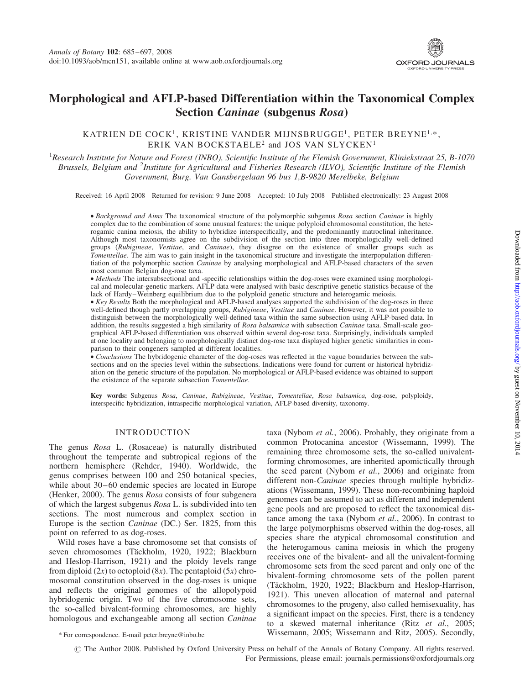

# Morphological and AFLP-based Differentiation within the Taxonomical Complex Section Caninae (subgenus Rosa)

# KATRIEN DE COCK<sup>1</sup>, KRISTINE VANDER MIJNSBRUGGE<sup>1</sup>, PETER BREYNE<sup>1,\*</sup>, ERIK VAN BOCKSTAELE<sup>2</sup> and JOS VAN SLYCKEN<sup>1</sup>

<sup>1</sup> Research Institute for Nature and Forest (INBO), Scientific Institute of the Flemish Government, Kliniekstraat 25, B-1070 Brussels, Belgium and <sup>2</sup>Institute for Agricultural and Fisheries Research (ILVO), Scientific Institute of the Flemish Government, Burg. Van Gansbergelaan 96 bus 1,B-9820 Merelbeke, Belgium

Received: 16 April 2008 Returned for revision: 9 June 2008 Accepted: 10 July 2008 Published electronically: 23 August 2008

† Background and Aims The taxonomical structure of the polymorphic subgenus Rosa section Caninae is highly complex due to the combination of some unusual features: the unique polyploid chromosomal constitution, the heterogamic canina meiosis, the ability to hybridize interspecifically, and the predominantly matroclinal inheritance. Although most taxonomists agree on the subdivision of the section into three morphologically well-defined groups (Rubigineae, Vestitae, and Caninae), they disagree on the existence of smaller groups such as Tomentellae. The aim was to gain insight in the taxonomical structure and investigate the interpopulation differentiation of the polymorphic section Caninae by analysing morphological and AFLP-based characters of the seven most common Belgian dog-rose taxa.

† Methods The intersubsectional and -specific relationships within the dog-roses were examined using morphological and molecular-genetic markers. AFLP data were analysed with basic descriptive genetic statistics because of the lack of Hardy–Weinberg equilibrium due to the polyploid genetic structure and heterogamic meiosis.

†Key Results Both the morphological and AFLP-based analyses supported the subdivision of the dog-roses in three well-defined though partly overlapping groups, Rubigineae, Vestitae and Caninae. However, it was not possible to distinguish between the morphologically well-defined taxa within the same subsection using AFLP-based data. In addition, the results suggested a high similarity of Rosa balsamica with subsection Caninae taxa. Small-scale geographical AFLP-based differentiation was observed within several dog-rose taxa. Surprisingly, individuals sampled at one locality and belonging to morphologically distinct dog-rose taxa displayed higher genetic similarities in comparison to their congeners sampled at different localities.

• Conclusions The hybridogenic character of the dog-roses was reflected in the vague boundaries between the subsections and on the species level within the subsections. Indications were found for current or historical hybridization on the genetic structure of the population. No morphological or AFLP-based evidence was obtained to support the existence of the separate subsection Tomentellae.

Key words: Subgenus Rosa, Caninae, Rubigineae, Vestitae, Tomentellae, Rosa balsamica, dog-rose, polyploidy, interspecific hybridization, intraspecific morphological variation, AFLP-based diversity, taxonomy.

## INTRODUCTION

The genus Rosa L. (Rosaceae) is naturally distributed throughout the temperate and subtropical regions of the northern hemisphere (Rehder, 1940). Worldwide, the genus comprises between 100 and 250 botanical species, while about 30–60 endemic species are located in Europe (Henker, 2000). The genus Rosa consists of four subgenera of which the largest subgenus Rosa L. is subdivided into ten sections. The most numerous and complex section in Europe is the section Caninae (DC.) Ser. 1825, from this point on referred to as dog-roses.

Wild roses have a base chromosome set that consists of seven chromosomes (Täckholm, 1920, 1922; Blackburn and Heslop-Harrison, 1921) and the ploidy levels range from diploid  $(2x)$  to octoploid  $(8x)$ . The pentaploid  $(5x)$  chromosomal constitution observed in the dog-roses is unique and reflects the original genomes of the allopolypoid hybridogenic origin. Two of the five chromosome sets, the so-called bivalent-forming chromosomes, are highly homologous and exchangeable among all section Caninae

taxa (Nybom et al., 2006). Probably, they originate from a common Protocanina ancestor (Wissemann, 1999). The remaining three chromosome sets, the so-called univalentforming chromosomes, are inherited apomictically through the seed parent (Nybom et al., 2006) and originate from different non-Caninae species through multiple hybridizations (Wissemann, 1999). These non-recombining haploid genomes can be assumed to act as different and independent gene pools and are proposed to reflect the taxonomical distance among the taxa (Nybom et al., 2006). In contrast to the large polymorphisms observed within the dog-roses, all species share the atypical chromosomal constitution and the heterogamous canina meiosis in which the progeny receives one of the bivalent- and all the univalent-forming chromosome sets from the seed parent and only one of the bivalent-forming chromosome sets of the pollen parent (Täckholm, 1920, 1922; Blackburn and Heslop-Harrison, 1921). This uneven allocation of maternal and paternal chromosomes to the progeny, also called hemisexuality, has a significant impact on the species. First, there is a tendency to a skewed maternal inheritance (Ritz et al., 2005; Wissemann, 2005; Wissemann and Ritz, 2005). Secondly, \* For correspondence. E-mail peter.breyne@inbo.be

# The Author 2008. Published by Oxford University Press on behalf of the Annals of Botany Company. All rights reserved. For Permissions, please email: journals.permissions@oxfordjournals.org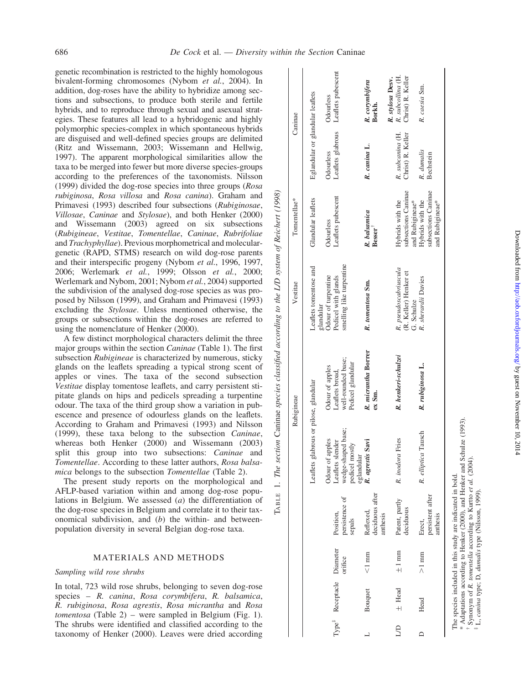genetic recombination is restricted to the highly homologous bivalent-forming chromosomes (Nybom et al., 2004). In addition, dog-roses have the ability to hybridize among sections and subsections, to produce both sterile and fertile hybrids, and to reproduce through sexual and asexual strategies. These features all lead to a hybridogenic and highly polymorphic species-complex in which spontaneous hybrids are disguised and well-defined species groups are delimited (Ritz and Wissemann, 2003; Wissemann and Hellwig,

1997). The apparent morphological similarities allow the taxa to be merged into fewer but more diverse species-groups according to the preferences of the taxonomists. Nilsson (1999) divided the dog-rose species into three groups (Rosa rubiginosa, Rosa villosa and Rosa canina). Graham and Primavesi (1993) described four subsections (Rubiginosae, Villosae, Caninae and Stylosae), and both Henker (2000) and Wissemann (2003) agreed on six subsections (Rubigineae, Vestitae, Tomentellae, Caninae, Rubrifoliae and Trachyphyllae). Previous morphometrical and moleculargenetic (RAPD, STMS) research on wild dog-rose parents and their interspecific progeny (Nybom et al., 1996, 1997, 2006; Werlemark et al., 1999; Olsson et al., 2000; Werlemark and Nybom, 2001; Nybom et al., 2004) supported the subdivision of the analysed dog-rose species as was proposed by Nilsson (1999), and Graham and Primavesi (1993) excluding the Stylosae. Unless mentioned otherwise, the groups or subsections within the dog-roses are referred to using the nomenclature of Henker (2000).

A few distinct morphological characters delimit the three major groups within the section Caninae (Table 1). The first subsection Rubigineae is characterized by numerous, sticky glands on the leaflets spreading a typical strong scent of apples or vines. The taxa of the second subsection Vestitae display tomentose leaflets, and carry persistent stipitate glands on hips and pedicels spreading a turpentine odour. The taxa of the third group show a variation in pubescence and presence of odourless glands on the leaflets. According to Graham and Primavesi (1993) and Nilsson (1999), these taxa belong to the subsection Caninae, whereas both Henker (2000) and Wissemann (2003) split this group into two subsections: Caninae and Tomentellae. According to these latter authors, Rosa balsamica belongs to the subsection Tomentellae (Table 2).

The present study reports on the morphological and AFLP-based variation within and among dog-rose populations in Belgium. We assessed (a) the differentiation of the dog-rose species in Belgium and correlate it to their taxonomical subdivision, and  $(b)$  the within- and betweenpopulation diversity in several Belgian dog-rose taxa.

## MATERIALS AND METHODS

# Sampling wild rose shrubs

In total, 723 wild rose shrubs, belonging to seven dog-rose species – R. canina, Rosa corymbifera, R. balsamica, R. rubiginosa, Rosa agrestis, Rosa micrantha and Rosa tomentosa (Table 2) – were sampled in Belgium (Fig. 1). The shrubs were identified and classified according to the taxonomy of Henker (2000). Leaves were dried according

|        |                                       |                 |                                         |                                                           | Rubigineae                                               | Vestitae                                                               | Tomentellae*                                                                  |                                       | Caninae                                                    |
|--------|---------------------------------------|-----------------|-----------------------------------------|-----------------------------------------------------------|----------------------------------------------------------|------------------------------------------------------------------------|-------------------------------------------------------------------------------|---------------------------------------|------------------------------------------------------------|
|        |                                       |                 |                                         | Leaflets glabrous or pilose, glandular                    |                                                          | Leaflets tomentose and<br>glandular                                    | Glandular leaflets                                                            | Eglandular or glandular leaflets      |                                                            |
|        | Type <sup>#</sup> Receptacle Diameter | orifice         | persistence of<br>Position,             | wedge-shaped base;<br>Odour of apples<br>Leaflets slender | well-rounded base;<br>Odour of apples<br>Leaflets broad, | smelling like turpentine<br>Odour of turpentine<br>Pedicel with glands | Leaflets pubescent<br>Odourless                                               | Leaflets glabrous<br>Odourless        | Leaflets pubescent<br>Odourless                            |
|        | Bouquet                               | $1 \text{ mm}$  | deciduous after<br>Reflexed,<br>sepals  | R. agrestis Savi<br>pedicel mostly<br>eglandular          | R. micrantha Borrer<br>Pedicel glandular<br>ex Sm.       | R. tomentosa Sm.                                                       | R. balsamica<br>Besser <sup>1</sup>                                           | R. canina L.                          | R. corymbifera<br>Borkh.                                   |
| e<br>S | $±$ Head                              | $\pm 1$ mm      | Patent, partly<br>deciduous<br>anthesis | R. inodora Fries                                          | R. henkeri-schulzei                                      | R. pseudoscabriuscula<br>(R. Keller) Henker et                         | subsections Caninae<br>Hybrids with the                                       | R. subcanina (H.<br>Christ) R. Keller | R. subcollina (H.<br>Christ) R. Keller<br>R. stylosa Desv. |
|        | Head                                  | $>1 \text{ mm}$ | persistent after<br>anthesis<br>Erect,  | R. elliptica Tausch                                       | R. rubiginosa L.                                         | R. sherardii Davies<br>G. Schulze                                      | subsections Caninae<br>Hybrids with the<br>and Rubigineae*<br>and Rubigineae* | R. dumalis<br><b>Bechstein</b>        | R. caesia Sm.                                              |

Adaptations according to Henker (2000), and Henker and Schulze (1993).<br>Synonym of R. *tomentella* according to Kurtto *et al.* (2004). \* Adaptations according to Henker (2000), and Henker and Schulze (1993).

 $\mathbf{I}$ 

†

 Synonym of R. tomentella according to Kurtto et al. (2004). ‡ L, canina type; D, dumalis type (Nilsson, 1999). L, canina type; D, dumalis type (Nilsson, 1999)

Downloaded from <http://aob.oxfordjournals.org/> Dy guest on November 10, 2014

Downloaded from http://aob.oxfordjournals.org/ by guest on November 10, 2014

 $\mathbf{I}$  $\overline{1}$ 

TABLE 1. The section Caninae species classified according to the L/D system of Reichert (1998)

The section Caninae species classified according

 $\overline{a}$ 

 $TABLE$ 

to the L/D system of Reichert (1998)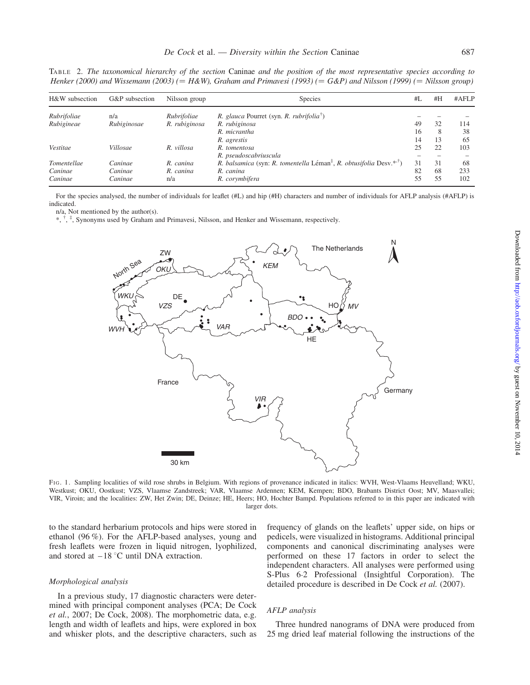TABLE 2. The taxonomical hierarchy of the section Caninae and the position of the most representative species according to Henker (2000) and Wissemann (2003) (= H&W), Graham and Primavesi (1993) (= G&P) and Nilsson (1999) (= Nilsson group)

| H&W subsection | G&P subsection | Nilsson group | <b>Species</b>                                                                              | #L | #H | #AFLP |
|----------------|----------------|---------------|---------------------------------------------------------------------------------------------|----|----|-------|
| Rubrifoliae    | n/a            | Rubrifoliae   | R. glauca Pourret (syn. R. rubrifolia <sup><math>\bar{\ }</math></sup> )                    |    |    |       |
| Rubigineae     | Rubiginosae    | R. rubiginosa | R. rubiginosa                                                                               | 49 | 32 | 114   |
|                |                |               | R. micrantha                                                                                | 16 | 8  | 38    |
|                |                |               | R. agrestis                                                                                 | 14 | 13 | 65    |
| Vestitae       | Villosae       | R. villosa    | R. tomentosa                                                                                | 25 | 22 | 103   |
|                |                |               | R. pseudoscabriuscula                                                                       |    |    |       |
| Tomentellae    | Caninae        | R. canina     | R. balsamica (syn: R. tomentella Léman <sup>‡</sup> , R. obtusifolia Desv. <sup>*,†</sup> ) | 31 | 31 | 68    |
| Caninae        | Caninae        | R. canina     | R. canina                                                                                   | 82 | 68 | 233   |
| Caninae        | Caninae        | n/a           | R. corymbifera                                                                              | 55 | 55 | 102   |

For the species analysed, the number of individuals for leaflet (#L) and hip (#H) characters and number of individuals for AFLP analysis (#AFLP) is indicated.

n/a, Not mentioned by the author(s).

\*, † , ‡ , Synonyms used by Graham and Primavesi, Nilsson, and Henker and Wissemann, respectively.



FIG. 1. Sampling localities of wild rose shrubs in Belgium. With regions of provenance indicated in italics: WVH, West-Vlaams Heuvelland; WKU, Westkust; OKU, Oostkust; VZS, Vlaamse Zandstreek; VAR, Vlaamse Ardennen; KEM, Kempen; BDO, Brabants District Oost; MV, Maasvallei; VIR, Viroin; and the localities: ZW, Het Zwin; DE, Deinze; HE, Heers; HO, Hochter Bampd. Populations referred to in this paper are indicated with larger dots.

to the standard herbarium protocols and hips were stored in ethanol (96 %). For the AFLP-based analyses, young and fresh leaflets were frozen in liquid nitrogen, lyophilized, and stored at  $-18$  °C until DNA extraction.

#### Morphological analysis

In a previous study, 17 diagnostic characters were determined with principal component analyses (PCA; De Cock et al., 2007; De Cock, 2008). The morphometric data, e.g. length and width of leaflets and hips, were explored in box and whisker plots, and the descriptive characters, such as frequency of glands on the leaflets' upper side, on hips or pedicels, were visualized in histograms. Additional principal components and canonical discriminating analyses were performed on these 17 factors in order to select the independent characters. All analyses were performed using S-Plus 6.2 Professional (Insightful Corporation). The detailed procedure is described in De Cock et al. (2007).

### AFLP analysis

Three hundred nanograms of DNA were produced from 25 mg dried leaf material following the instructions of the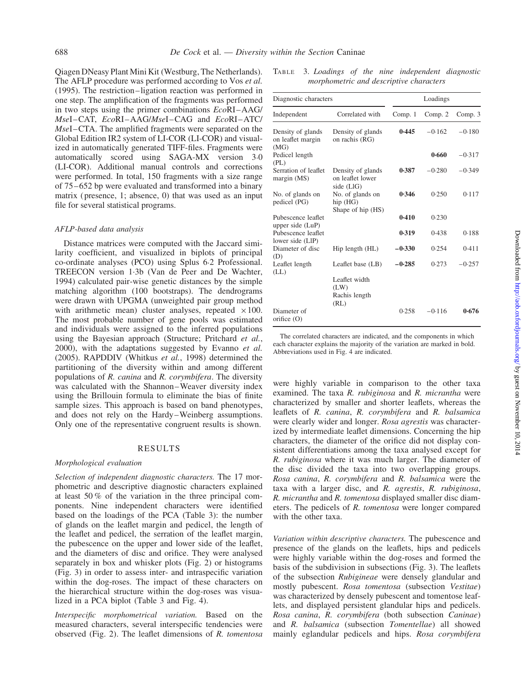Qiagen DNeasy Plant Mini Kit (Westburg, The Netherlands). The AFLP procedure was performed according to Vos et al. (1995). The restriction –ligation reaction was performed in one step. The amplification of the fragments was performed in two steps using the primer combinations  $EcoRI-AG/$ MseI–CAT, EcoRI –AAG/MseI –CAG and EcoRI –ATC/ MseI–CTA. The amplified fragments were separated on the Global Edition IR2 system of LI-COR (LI-COR) and visualized in automatically generated TIFF-files. Fragments were automatically scored using SAGA-MX version 3.0 (LI-COR). Additional manual controls and corrections were performed. In total, 150 fragments with a size range of 75 –652 bp were evaluated and transformed into a binary matrix ( presence, 1; absence, 0) that was used as an input file for several statistical programs.

#### AFLP-based data analysis

Distance matrices were computed with the Jaccard similarity coefficient, and visualized in biplots of principal co-ordinate analyses (PCO) using Splus 6.2 Professional. TREECON version 1.3b (Van de Peer and De Wachter, 1994) calculated pair-wise genetic distances by the simple matching algorithm (100 bootstraps). The dendrograms were drawn with UPGMA (unweighted pair group method with arithmetic mean) cluster analyses, repeated  $\times 100$ . The most probable number of gene pools was estimated and individuals were assigned to the inferred populations using the Bayesian approach (Structure; Pritchard et al., 2000), with the adaptations suggested by Evanno et al. (2005). RAPDDIV (Whitkus et al., 1998) determined the partitioning of the diversity within and among different populations of R. canina and R. corymbifera. The diversity was calculated with the Shannon–Weaver diversity index using the Brillouin formula to eliminate the bias of finite sample sizes. This approach is based on band phenotypes, and does not rely on the Hardy –Weinberg assumptions. Only one of the representative congruent results is shown.

## RESULTS

#### Morphological evaluation

Selection of independent diagnostic characters. The 17 morphometric and descriptive diagnostic characters explained at least 50 % of the variation in the three principal components. Nine independent characters were identified based on the loadings of the PCA (Table 3): the number of glands on the leaflet margin and pedicel, the length of the leaflet and pedicel, the serration of the leaflet margin, the pubescence on the upper and lower side of the leaflet, and the diameters of disc and orifice. They were analysed separately in box and whisker plots (Fig. 2) or histograms (Fig. 3) in order to assess inter- and intraspecific variation within the dog-roses. The impact of these characters on the hierarchical structure within the dog-roses was visualized in a PCA biplot (Table 3 and Fig. 4).

Interspecific morphometrical variation. Based on the measured characters, several interspecific tendencies were observed (Fig. 2). The leaflet dimensions of  $R$ . tomentosa

TABLE 3. Loadings of the nine independent diagnostic morphometric and descriptive characters

| Diagnostic characters                          |                                                                     | Loadings |          |          |  |  |
|------------------------------------------------|---------------------------------------------------------------------|----------|----------|----------|--|--|
| Independent                                    | Correlated with                                                     | Comp. 1  | Comp. 2  | Comp. 3  |  |  |
| Density of glands<br>on leaflet margin<br>(MG) | Density of glands<br>on rachis (RG)                                 | 0.445    | $-0.162$ | $-0.180$ |  |  |
| Pedicel length<br>(PL)                         |                                                                     |          | 0.660    | $-0.317$ |  |  |
| Serration of leaflet<br>margin (MS)            | Density of glands<br>on leaflet lower<br>side (LlG)                 | 0.387    | $-0.280$ | $-0.349$ |  |  |
| No. of glands on<br>pedicel (PG)               | No. of glands on<br>hip (HG)<br>Shape of hip (HS)                   | 0.346    | 0.250    | 0.117    |  |  |
| Pubescence leaflet<br>upper side (LuP)         |                                                                     | 0.410    | 0.230    |          |  |  |
| Pubescence leaflet<br>lower side (LIP)         |                                                                     | 0.319    | 0.438    | 0.188    |  |  |
| Diameter of disc<br>(D)                        | Hip length (HL)                                                     | $-0.330$ | 0.254    | 0.411    |  |  |
| Leaflet length<br>(LL)                         | Leaflet base (LB)<br>Leaflet width<br>(LW)<br>Rachis length<br>(RL) | $-0.285$ | 0.273    | $-0.257$ |  |  |
| Diameter of<br>orifice $(O)$                   |                                                                     | 0.258    | $-0.116$ | 0.676    |  |  |

The correlated characters are indicated, and the components in which each character explains the majority of the variation are marked in bold. Abbreviations used in Fig. 4 are indicated.

were highly variable in comparison to the other taxa examined. The taxa R. rubiginosa and R. micrantha were characterized by smaller and shorter leaflets, whereas the leaflets of R. canina, R. corymbifera and R. balsamica were clearly wider and longer. Rosa agrestis was characterized by intermediate leaflet dimensions. Concerning the hip characters, the diameter of the orifice did not display consistent differentiations among the taxa analysed except for R. rubiginosa where it was much larger. The diameter of the disc divided the taxa into two overlapping groups. Rosa canina, R. corymbifera and R. balsamica were the taxa with a larger disc, and R. agrestis, R. rubiginosa, R. micrantha and R. tomentosa displayed smaller disc diameters. The pedicels of R. tomentosa were longer compared with the other taxa.

Variation within descriptive characters. The pubescence and presence of the glands on the leaflets, hips and pedicels were highly variable within the dog-roses and formed the basis of the subdivision in subsections (Fig. 3). The leaflets of the subsection Rubigineae were densely glandular and mostly pubescent. Rosa tomentosa (subsection Vestitae) was characterized by densely pubescent and tomentose leaflets, and displayed persistent glandular hips and pedicels. Rosa canina, R. corymbifera (both subsection Caninae) and R. balsamica (subsection Tomentellae) all showed mainly eglandular pedicels and hips. Rosa corymbifera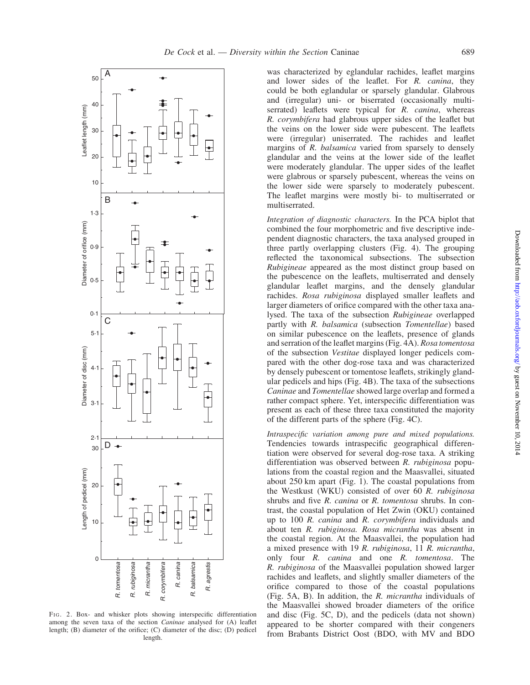

FIG. 2. Box- and whisker plots showing interspecific differentiation among the seven taxa of the section *Caninae* analysed for (A) leaflet length; (B) diameter of the orifice; (C) diameter of the disc; (D) pedicel length.

was characterized by eglandular rachides, leaflet margins and lower sides of the leaflet. For R. canina, they could be both eglandular or sparsely glandular. Glabrous and (irregular) uni- or biserrated (occasionally multiserrated) leaflets were typical for R. canina, whereas R. corymbifera had glabrous upper sides of the leaflet but the veins on the lower side were pubescent. The leaflets were (irregular) uniserrated. The rachides and leaflet margins of R. balsamica varied from sparsely to densely glandular and the veins at the lower side of the leaflet were moderately glandular. The upper sides of the leaflet were glabrous or sparsely pubescent, whereas the veins on the lower side were sparsely to moderately pubescent. The leaflet margins were mostly bi- to multiserrated or multiserrated.

Integration of diagnostic characters. In the PCA biplot that combined the four morphometric and five descriptive independent diagnostic characters, the taxa analysed grouped in three partly overlapping clusters (Fig. 4). The grouping reflected the taxonomical subsections. The subsection Rubigineae appeared as the most distinct group based on the pubescence on the leaflets, multiserrated and densely glandular leaflet margins, and the densely glandular rachides. Rosa rubiginosa displayed smaller leaflets and larger diameters of orifice compared with the other taxa analysed. The taxa of the subsection Rubigineae overlapped partly with R. balsamica (subsection Tomentellae) based on similar pubescence on the leaflets, presence of glands and serration of the leaflet margins (Fig. 4A). Rosa tomentosa of the subsection Vestitae displayed longer pedicels compared with the other dog-rose taxa and was characterized by densely pubescent or tomentose leaflets, strikingly glandular pedicels and hips (Fig. 4B). The taxa of the subsections Caninae and Tomentellae showed large overlap and formed a rather compact sphere. Yet, interspecific differentiation was present as each of these three taxa constituted the majority of the different parts of the sphere (Fig. 4C).

Intraspecific variation among pure and mixed populations. Tendencies towards intraspecific geographical differentiation were observed for several dog-rose taxa. A striking differentiation was observed between R. rubiginosa populations from the coastal region and the Maasvallei, situated about 250 km apart (Fig. 1). The coastal populations from the Westkust (WKU) consisted of over 60 R. rubiginosa shrubs and five R. canina or R. tomentosa shrubs. In contrast, the coastal population of Het Zwin (OKU) contained up to 100 R. canina and R. corymbifera individuals and about ten R. rubiginosa. Rosa micrantha was absent in the coastal region. At the Maasvallei, the population had a mixed presence with 19 R. rubiginosa, 11 R. micrantha, only four R. canina and one R. tomentosa. The R. rubiginosa of the Maasvallei population showed larger rachides and leaflets, and slightly smaller diameters of the orifice compared to those of the coastal populations (Fig. 5A, B). In addition, the R. micrantha individuals of the Maasvallei showed broader diameters of the orifice and disc (Fig. 5C, D), and the pedicels (data not shown) appeared to be shorter compared with their congeners from Brabants District Oost (BDO, with MV and BDO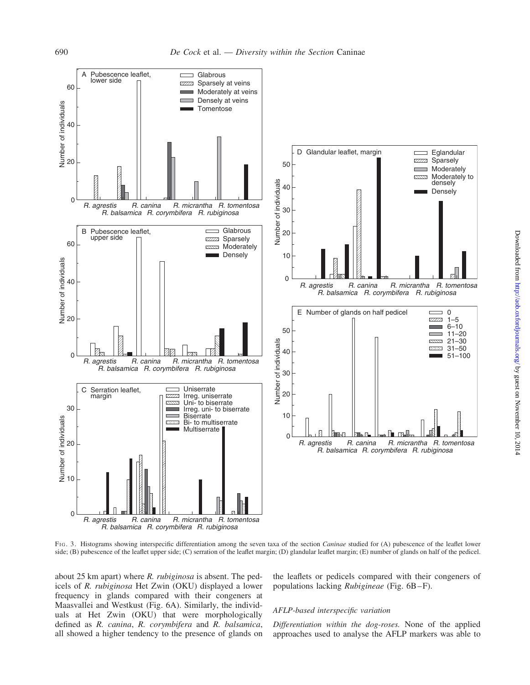

FIG. 3. Histograms showing interspecific differentiation among the seven taxa of the section *Caninae* studied for (A) pubescence of the leaflet lower side; (B) pubescence of the leaflet upper side; (C) serration of the leaflet margin; (D) glandular leaflet margin; (E) number of glands on half of the pedicel.

about 25 km apart) where R. rubiginosa is absent. The pedicels of R. rubiginosa Het Zwin (OKU) displayed a lower frequency in glands compared with their congeners at Maasvallei and Westkust (Fig. 6A). Similarly, the individuals at Het Zwin (OKU) that were morphologically defined as R. canina, R. corymbifera and R. balsamica, all showed a higher tendency to the presence of glands on

the leaflets or pedicels compared with their congeners of populations lacking Rubigineae (Fig. 6B –F).

### AFLP-based interspecific variation

Differentiation within the dog-roses. None of the applied approaches used to analyse the AFLP markers was able to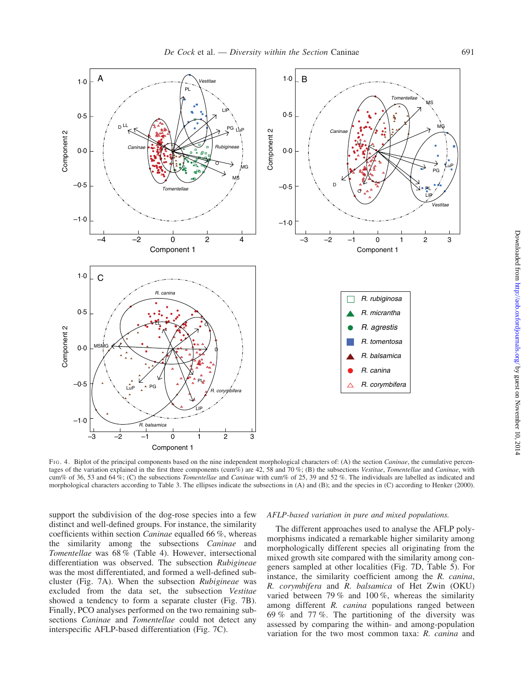

FIG. 4. Biplot of the principal components based on the nine independent morphological characters of: (A) the section Caninae, the cumulative percentages of the variation explained in the first three components (cum%) are 42, 58 and 70%; (B) the subsections Vestitae, Tomentellae and Caninae, with cum% of 36, 53 and 64%; (C) the subsections *Tomentellae* and *Caninae* with cum% of 25, 39 and 52%. The individuals are labelled as indicated and morphological characters according to Table 3. The ellipses indicate the subsections in (A) and (B); and the species in (C) according to Henker (2000).

support the subdivision of the dog-rose species into a few distinct and well-defined groups. For instance, the similarity coefficients within section Caninae equalled 66 %, whereas the similarity among the subsections Caninae and Tomentellae was 68 % (Table 4). However, intersectional differentiation was observed. The subsection Rubigineae was the most differentiated, and formed a well-defined subcluster (Fig. 7A). When the subsection Rubigineae was excluded from the data set, the subsection Vestitae showed a tendency to form a separate cluster (Fig. 7B). Finally, PCO analyses performed on the two remaining subsections Caninae and Tomentellae could not detect any interspecific AFLP-based differentiation (Fig. 7C).

#### AFLP-based variation in pure and mixed populations.

The different approaches used to analyse the AFLP polymorphisms indicated a remarkable higher similarity among morphologically different species all originating from the mixed growth site compared with the similarity among congeners sampled at other localities (Fig. 7D, Table 5). For instance, the similarity coefficient among the R. canina, R. corymbifera and R. balsamica of Het Zwin (OKU) varied between 79 % and 100 %, whereas the similarity among different R. canina populations ranged between 69 % and 77 %. The partitioning of the diversity was assessed by comparing the within- and among-population variation for the two most common taxa: R. canina and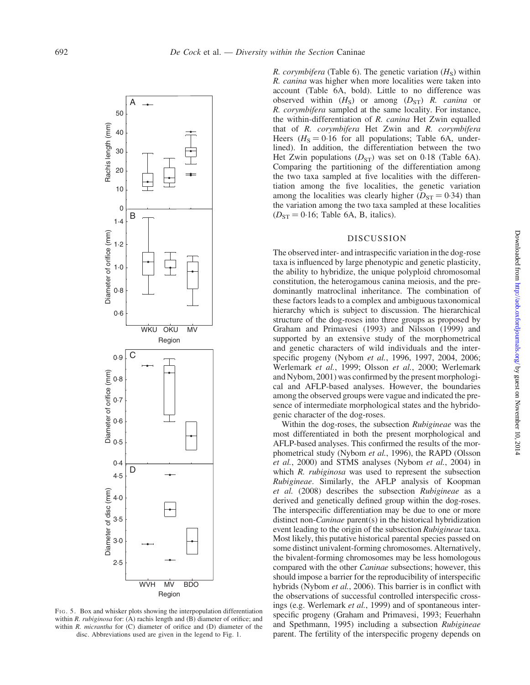

FIG. 5. Box and whisker plots showing the interpopulation differentiation within R. rubiginosa for: (A) rachis length and  $(B)$  diameter of orifice; and within R. micrantha for (C) diameter of orifice and (D) diameter of the disc. Abbreviations used are given in the legend to Fig. 1.

R. corymbifera (Table 6). The genetic variation  $(H<sub>s</sub>)$  within R. canina was higher when more localities were taken into account (Table 6A, bold). Little to no difference was observed within  $(H<sub>S</sub>)$  or among  $(D<sub>ST</sub>)$  R. canina or R. corymbifera sampled at the same locality. For instance, the within-differentiation of R. canina Het Zwin equalled that of R. corymbifera Het Zwin and R. corymbifera Heers  $(H<sub>S</sub> = 0.16$  for all populations; Table 6A, underlined). In addition, the differentiation between the two Het Zwin populations  $(D_{ST})$  was set on 0.18 (Table 6A). Comparing the partitioning of the differentiation among the two taxa sampled at five localities with the differentiation among the five localities, the genetic variation among the localities was clearly higher ( $D_{ST} = 0.34$ ) than the variation among the two taxa sampled at these localities  $(D_{ST} = 0.16;$  Table 6A, B, italics).

## DISCUSSION

The observed inter- and intraspecific variation in the dog-rose taxa is influenced by large phenotypic and genetic plasticity, the ability to hybridize, the unique polyploid chromosomal constitution, the heterogamous canina meiosis, and the predominantly matroclinal inheritance. The combination of these factors leads to a complex and ambiguous taxonomical hierarchy which is subject to discussion. The hierarchical structure of the dog-roses into three groups as proposed by Graham and Primavesi (1993) and Nilsson (1999) and supported by an extensive study of the morphometrical and genetic characters of wild individuals and the interspecific progeny (Nybom et al., 1996, 1997, 2004, 2006; Werlemark et al., 1999; Olsson et al., 2000; Werlemark and Nybom, 2001) was confirmed by the present morphological and AFLP-based analyses. However, the boundaries among the observed groups were vague and indicated the presence of intermediate morphological states and the hybridogenic character of the dog-roses.

Within the dog-roses, the subsection Rubigineae was the most differentiated in both the present morphological and AFLP-based analyses. This confirmed the results of the morphometrical study (Nybom et al., 1996), the RAPD (Olsson et al., 2000) and STMS analyses (Nybom et al., 2004) in which R. *rubiginosa* was used to represent the subsection Rubigineae. Similarly, the AFLP analysis of Koopman et al. (2008) describes the subsection Rubigineae as a derived and genetically defined group within the dog-roses. The interspecific differentiation may be due to one or more distinct non-Caninae parent(s) in the historical hybridization event leading to the origin of the subsection Rubigineae taxa. Most likely, this putative historical parental species passed on some distinct univalent-forming chromosomes. Alternatively, the bivalent-forming chromosomes may be less homologous compared with the other Caninae subsections; however, this should impose a barrier for the reproducibility of interspecific hybrids (Nybom et al., 2006). This barrier is in conflict with the observations of successful controlled interspecific crossings (e.g. Werlemark et al., 1999) and of spontaneous interspecific progeny (Graham and Primavesi, 1993; Feuerhahn and Spethmann, 1995) including a subsection Rubigineae parent. The fertility of the interspecific progeny depends on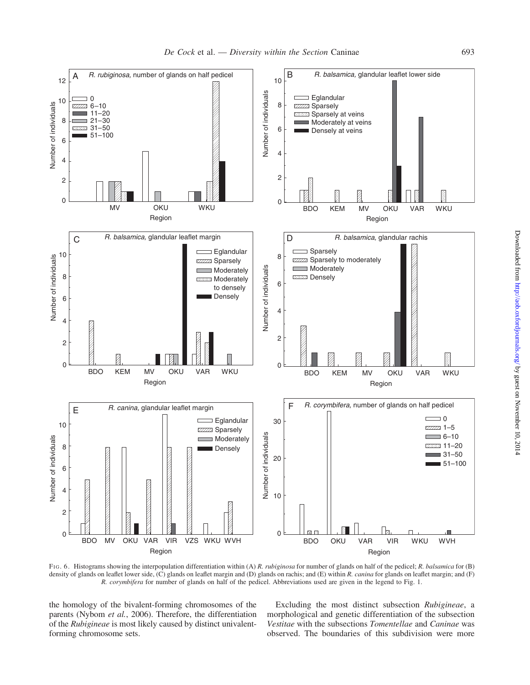

FIG. 6. Histograms showing the interpopulation differentiation within (A) R. rubiginosa for number of glands on half of the pedicel; R. balsamica for (B) density of glands on leaflet lower side, (C) glands on leaflet margin and (D) glands on rachis; and (E) within R. canina for glands on leaflet margin; and (F) R. corymbifera for number of glands on half of the pedicel. Abbreviations used are given in the legend to Fig. 1.

the homology of the bivalent-forming chromosomes of the parents (Nybom et al., 2006). Therefore, the differentiation of the Rubigineae is most likely caused by distinct univalentforming chromosome sets.

Excluding the most distinct subsection Rubigineae, a morphological and genetic differentiation of the subsection Vestitae with the subsections Tomentellae and Caninae was observed. The boundaries of this subdivision were more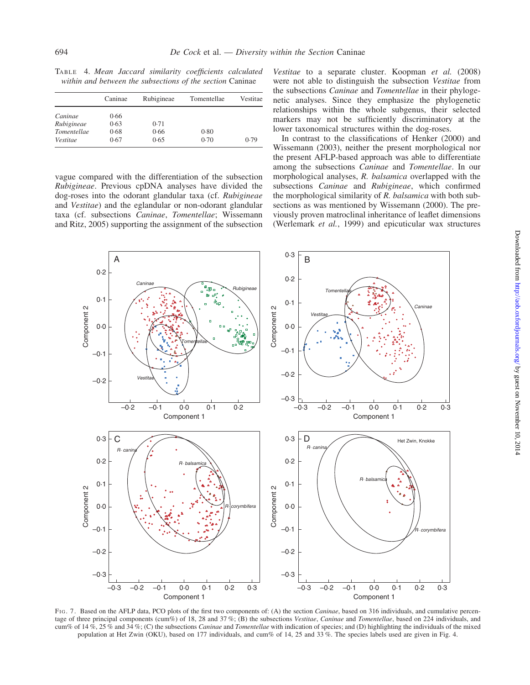TABLE 4. Mean Jaccard similarity coefficients calculated within and between the subsections of the section Caninae

|                    | Caninae | Rubigineae | Tomentellae | Vestitae |
|--------------------|---------|------------|-------------|----------|
| Caninae            | 0.66    |            |             |          |
| Rubigineae         | 0.63    | 0.71       |             |          |
| <b>Tomentellae</b> | 0.68    | 0.66       | 0.80        |          |
| Vestitae           | 0.67    | 0.65       | 0.70        | 0.79     |

vague compared with the differentiation of the subsection Rubigineae. Previous cpDNA analyses have divided the dog-roses into the odorant glandular taxa (cf. Rubigineae and Vestitae) and the eglandular or non-odorant glandular taxa (cf. subsections Caninae, Tomentellae; Wissemann and Ritz, 2005) supporting the assignment of the subsection

Vestitae to a separate cluster. Koopman et al. (2008) were not able to distinguish the subsection Vestitae from the subsections Caninae and Tomentellae in their phylogenetic analyses. Since they emphasize the phylogenetic relationships within the whole subgenus, their selected markers may not be sufficiently discriminatory at the lower taxonomical structures within the dog-roses.

In contrast to the classifications of Henker (2000) and Wissemann (2003), neither the present morphological nor the present AFLP-based approach was able to differentiate among the subsections Caninae and Tomentellae. In our morphological analyses, R. balsamica overlapped with the subsections *Caninae* and *Rubigineae*, which confirmed the morphological similarity of R. balsamica with both subsections as was mentioned by Wissemann (2000). The previously proven matroclinal inheritance of leaflet dimensions (Werlemark et al., 1999) and epicuticular wax structures



FIG. 7. Based on the AFLP data, PCO plots of the first two components of: (A) the section Caninae, based on 316 individuals, and cumulative percentage of three principal components (cum%) of 18, 28 and 37%; (B) the subsections Vestitae, Caninae and Tomentellae, based on 224 individuals, and cum% of 14 %, 25 % and 34 %; (C) the subsections *Caninae* and *Tomentellae* with indication of species; and (D) highlighting the individuals of the mixed population at Het Zwin (OKU), based on 177 individuals, and cum% of 14, 25 and 33 %. The species labels used are given in Fig. 4.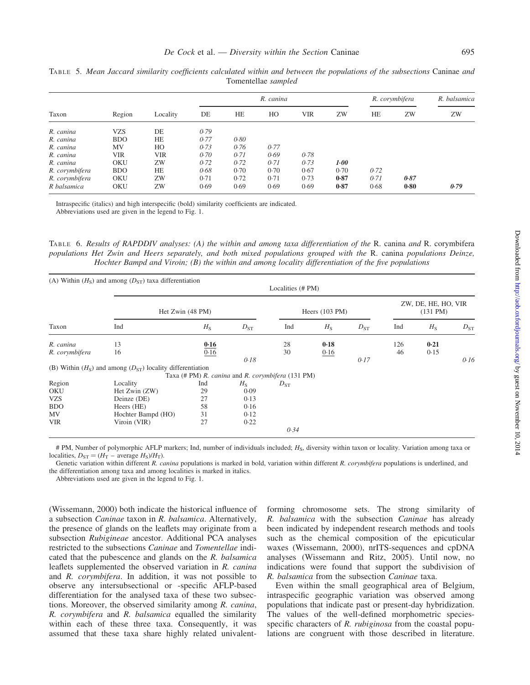|                | Region     | Locality   |      |           | R. canina | R. corymbifera |      | R. balsamica |      |      |
|----------------|------------|------------|------|-----------|-----------|----------------|------|--------------|------|------|
| Taxon          |            |            | DE   | <b>HE</b> | HO        | <b>VIR</b>     | ZW   | HE           | ZW   | ZW   |
| R. canina      | VZS        | DE         | 0.79 |           |           |                |      |              |      |      |
| R. canina      | <b>BDO</b> | HE         | 0.77 | 0.80      |           |                |      |              |      |      |
| R. canina      | MV         | HO         | 0.73 | 0.76      | 0.77      |                |      |              |      |      |
| R. canina      | VIR        | <b>VIR</b> | 0.70 | 0.71      | 0.69      | 0.78           |      |              |      |      |
| R. canina      | <b>OKU</b> | ZW         | 0.72 | 0.72      | 0.71      | 0.73           | 1.00 |              |      |      |
| R. corymbifera | <b>BDO</b> | HE         | 0.68 | 0.70      | 0.70      | 0.67           | 0.70 | 0.72         |      |      |
| R. corymbifera | OKU        | ZW         | 0.71 | 0.72      | 0.71      | 0.73           | 0.87 | 0.71         | 0.87 |      |
| R balsamica    | <b>OKU</b> | ZW         | 0.69 | 0.69      | 0.69      | 0.69           | 0.87 | 0.68         | 0.80 | 0.79 |

TABLE 5. Mean Jaccard similarity coefficients calculated within and between the populations of the subsections Caninae and Tomentellae sampled

Intraspecific (italics) and high interspecific (bold) similarity coefficients are indicated. Abbreviations used are given in the legend to Fig. 1.

TABLE 6. Results of RAPDDIV analyses: (A) the within and among taxa differentiation of the R. canina and R. corymbifera populations Het Zwin and Heers separately, and both mixed populations grouped with the R. canina populations Deinze, Hochter Bampd and Viroin; (B) the within and among locality differentiation of the five populations

|                |                                                              | (A) Within $(HS)$ and among $(DST)$ taxa differentiation<br>Localities (# PM) |                                                   |          |             |                          |     |             |          |  |
|----------------|--------------------------------------------------------------|-------------------------------------------------------------------------------|---------------------------------------------------|----------|-------------|--------------------------|-----|-------------|----------|--|
|                |                                                              | Het Zwin (48 PM)                                                              |                                                   |          |             | Heers $(103 \text{ PM})$ |     |             |          |  |
| Taxon          | Ind                                                          | $H_{\rm S}$                                                                   | $D_{ST}$                                          | Ind      | $H_{\rm S}$ | $D_{ST}$                 | Ind | $H_{\rm S}$ | $D_{ST}$ |  |
| R. canina      | 13                                                           | 0.16                                                                          |                                                   | 28       | 0.18        |                          | 126 | 0.21        |          |  |
| R. corymbifera | 16                                                           | 0.16                                                                          |                                                   | 30       | 0.16        |                          | 46  | 0.15        |          |  |
|                |                                                              |                                                                               | 0.18                                              |          |             | 0.17                     |     |             | 0.16     |  |
|                | (B) Within $(HS)$ and among $(DST)$ locality differentiation |                                                                               |                                                   |          |             |                          |     |             |          |  |
|                |                                                              |                                                                               | Taxa (# PM) R. canina and R. corymbifera (131 PM) |          |             |                          |     |             |          |  |
| Region         | Locality                                                     | Ind                                                                           | $H_{\rm S}$                                       | $D_{ST}$ |             |                          |     |             |          |  |
| OKU            | Het Zwin (ZW)                                                | 29                                                                            | 0.09                                              |          |             |                          |     |             |          |  |
| <b>VZS</b>     | Deinze (DE)                                                  | 27                                                                            | 0.13                                              |          |             |                          |     |             |          |  |
| <b>BDO</b>     | Heers (HE)                                                   | 58                                                                            | 0.16                                              |          |             |                          |     |             |          |  |
| MV             | Hochter Bampd (HO)                                           | 31                                                                            | 0.12                                              |          |             |                          |     |             |          |  |
| <b>VIR</b>     | Viroin (VIR)                                                 | 27                                                                            | 0.22                                              |          |             |                          |     |             |          |  |
|                |                                                              |                                                                               |                                                   | 0.34     |             |                          |     |             |          |  |

# PM, Number of polymorphic AFLP markers; Ind, number of individuals included; H<sub>S</sub>, diversity within taxon or locality. Variation among taxa or localities,  $D_{ST} = (H_T - \text{average } H_S)/H_T$ .

Genetic variation within different R. canina populations is marked in bold, variation within different R. corymbifera populations is underlined, and the differentiation among taxa and among localities is marked in italics.

Abbreviations used are given in the legend to Fig. 1.

(Wissemann, 2000) both indicate the historical influence of a subsection Caninae taxon in R. balsamica. Alternatively, the presence of glands on the leaflets may originate from a subsection Rubigineae ancestor. Additional PCA analyses restricted to the subsections Caninae and Tomentellae indicated that the pubescence and glands on the R. balsamica leaflets supplemented the observed variation in R. canina and R. corymbifera. In addition, it was not possible to observe any intersubsectional or -specific AFLP-based differentiation for the analysed taxa of these two subsections. Moreover, the observed similarity among R. canina, R. corymbifera and R. balsamica equalled the similarity within each of these three taxa. Consequently, it was assumed that these taxa share highly related univalentforming chromosome sets. The strong similarity of R. balsamica with the subsection Caninae has already been indicated by independent research methods and tools such as the chemical composition of the epicuticular waxes (Wissemann, 2000), nrITS-sequences and cpDNA analyses (Wissemann and Ritz, 2005). Until now, no indications were found that support the subdivision of R. balsamica from the subsection Caninae taxa.

Even within the small geographical area of Belgium, intraspecific geographic variation was observed among populations that indicate past or present-day hybridization. The values of the well-defined morphometric speciesspecific characters of R. *rubiginosa* from the coastal populations are congruent with those described in literature.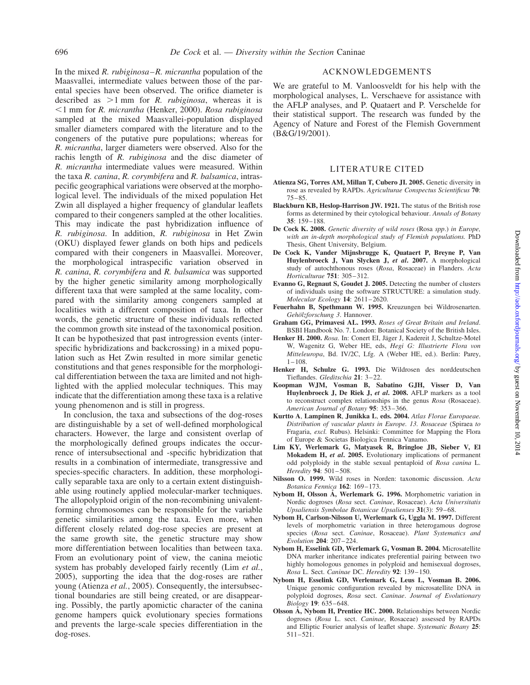In the mixed R. *rubiginosa–R. micrantha* population of the Maasvallei, intermediate values between those of the parental species have been observed. The orifice diameter is described as  $>1$  mm for R. *rubiginosa*, whereas it is  $\leq$ 1 mm for R. micrantha (Henker, 2000). Rosa rubiginosa sampled at the mixed Maasvallei-population displayed smaller diameters compared with the literature and to the congeners of the putative pure populations; whereas for R. micrantha, larger diameters were observed. Also for the rachis length of R. rubiginosa and the disc diameter of R. micrantha intermediate values were measured. Within the taxa R. canina, R. corymbifera and R. balsamica, intraspecific geographical variations were observed at the morphological level. The individuals of the mixed population Het Zwin all displayed a higher frequency of glandular leaflets compared to their congeners sampled at the other localities. This may indicate the past hybridization influence of R. rubiginosa. In addition, R. rubiginosa in Het Zwin (OKU) displayed fewer glands on both hips and pedicels compared with their congeners in Maasvallei. Moreover, the morphological intraspecific variation observed in R. canina, R. corymbifera and R. balsamica was supported by the higher genetic similarity among morphologically different taxa that were sampled at the same locality, compared with the similarity among congeners sampled at localities with a different composition of taxa. In other words, the genetic structure of these individuals reflected the common growth site instead of the taxonomical position. It can be hypothesized that past introgression events (interspecific hybridizations and backcrossing) in a mixed population such as Het Zwin resulted in more similar genetic constitutions and that genes responsible for the morphological differentiation between the taxa are limited and not highlighted with the applied molecular techniques. This may indicate that the differentiation among these taxa is a relative young phenomenon and is still in progress.

In conclusion, the taxa and subsections of the dog-roses are distinguishable by a set of well-defined morphological characters. However, the large and consistent overlap of the morphologically defined groups indicates the occurrence of intersubsectional and -specific hybridization that results in a combination of intermediate, transgressive and species-specific characters. In addition, these morphologically separable taxa are only to a certain extent distinguishable using routinely applied molecular-marker techniques. The allopolyploid origin of the non-recombining univalentforming chromosomes can be responsible for the variable genetic similarities among the taxa. Even more, when different closely related dog-rose species are present at the same growth site, the genetic structure may show more differentiation between localities than between taxa. From an evolutionary point of view, the canina meiotic system has probably developed fairly recently (Lim et al., 2005), supporting the idea that the dog-roses are rather young (Atienza *et al.*, 2005). Consequently, the intersubsectional boundaries are still being created, or are disappearing. Possibly, the partly apomictic character of the canina genome hampers quick evolutionary species formations and prevents the large-scale species differentiation in the dog-roses.

## ACKNOWLEDGEMENTS

We are grateful to M. Vanloosveldt for his help with the morphological analyses, L. Verschaeve for assistance with the AFLP analyses, and P. Quataert and P. Verschelde for their statistical support. The research was funded by the Agency of Nature and Forest of the Flemish Government (B&G/19/2001).

#### LITERATURE CITED

- Atienza SG, Torres AM, Millan T, Cubero JI. 2005. Genetic diversity in rose as revealed by RAPDs. Agriculturae Conspectus Scientificus 70: 75–85.
- Blackburn KB, Heslop-Harrison JW. 1921. The status of the British rose forms as determined by their cytological behaviour. Annals of Botany 35: 159– 188.
- De Cock K. 2008. Genetic diversity of wild roses (Rosa spp.) in Europe, with an in-depth morphological study of Flemish populations. PhD Thesis, Ghent University, Belgium.
- De Cock K, Vander Mijnsbrugge K, Quataert P, Breyne P, Van Huylenbroeck J, Van Slycken J, et al. 2007. A morphological study of autochthonous roses (Rosa, Rosaceae) in Flanders. Acta Horticulturae 751: 305–312.
- Evanno G, Regnaut S, Goudet J. 2005. Detecting the number of clusters of individuals using the software STRUCTURE: a simulation study. Molecular Ecology 14: 2611-2620.
- Feuerhahn B, Spethmann W. 1995. Kreuzungen bei Wildrosenarten. Gehölzforschung 3. Hannover.
- Graham GG, Primavesi AL. 1993. Roses of Great Britain and Ireland. BSBI Handbook No. 7. London: Botanical Society of the British Isles.
- Henker H. 2000. Rosa. In: Conert EI, Jäger J, Kadereit J, Schultze-Motel W, Wagenitz G, Weber HE, eds, Hegi G: Illustrierte Flora von Mitteleuropa, Bd. IV/2C, Lfg. A (Weber HE, ed.). Berlin: Parey,  $1 - 108$ .
- Henker H, Schulze G. 1993. Die Wildrosen des norddeutschen Tieflandes. Gleditschia 21: 3–22.
- Koopman WJM, Vosman B, Sabatino GJH, Visser D, Van Huylenbroeck J, De Riek J, et al. 2008. AFLP markers as a tool to reconstruct complex relationships in the genus Rosa (Rosaceae). American Journal of Botany 95: 353– 366.
- Kurtto A, Lampinen R, Junikka L, eds. 2004. Atlas Florae Europaeae. Distribution of vascular plants in Europe. 13. Rosaceae (Spiraea to Fragaria, excl. Rubus). Helsinki: Committee for Mapping the Flora of Europe & Societas Biologica Fennica Vanamo.
- Lim KY, Werlemark G, Matyasek R, Bringloe JB, Sieber V, El Mokadem H, et al. 2005. Evolutionary implications of permanent odd polyploidy in the stable sexual pentaploid of Rosa canina L. Heredity 94: 501-508.
- Nilsson O. 1999. Wild roses in Norden: taxonomic discussion. Acta Botanica Fennica 162: 169–173.
- Nybom H, Olsson A, Werlemark G. 1996. Morphometric variation in Nordic dogroses (Rosa sect. Caninae, Rosaceae). Acta Universitatis Upsaliensis Symbolae Botanicae Upsalienses 31(3): 59-68.
- Nybom H, Carlson-Nilsson U, Werlemark G, Uggla M. 1997. Different levels of morphometric variation in three heterogamous dogrose species (Rosa sect. Caninae, Rosaceae). Plant Systematics and Evolution 204: 207– 224.
- Nybom H, Esselink GD, Werlemark G, Vosman B. 2004. Microsatellite DNA marker inheritance indicates preferential pairing between two highly homologous genomes in polyploid and hemisexual dogroses, Rosa L. Sect. Caninae DC. Heredity 92: 139-150.
- Nybom H, Esselink GD, Werlemark G, Leus L, Vosman B. 2006. Unique genomic configuration revealed by microsatellite DNA in polyploid dogroses, Rosa sect. Caninae. Journal of Evolutionary Biology 19: 635–648.
- Olsson A, Nybom H, Prentice HC. 2000. Relationships between Nordic dogroses (Rosa L. sect. Caninae, Rosaceae) assessed by RAPDs and Elliptic Fourier analysis of leaflet shape. Systematic Botany 25: 511–521.